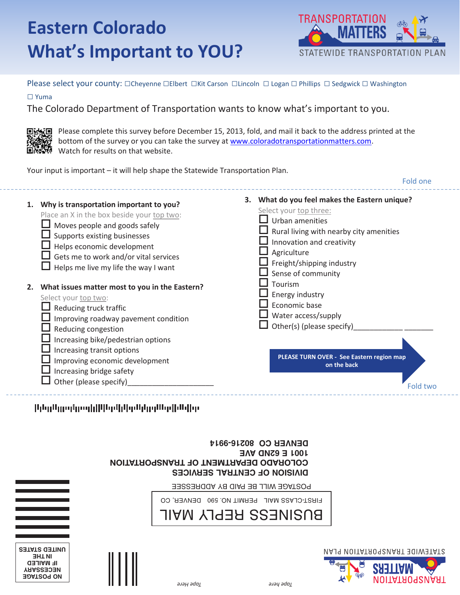# **What's Important to YOU? What's Important to YOU?** Eastern **Colorado**



Please select your county:  $\Box$ Cheyenne  $\Box$ Elbert  $\Box$ Kit Carson  $\Box$ Lincoln  $\Box$  Logan  $\Box$  Phillips  $\Box$  Sedgwick  $\Box$  Washington

**□** Yuma

The Colorado Department of Transportation wants to know what's important to you. The Colorado Department of Transportation wants to know what's important to you.



**NECESSARY NECESSARY NO POSTAGE NO POSTAGE IF MAILED NECESSARY IF MAILED IATE** dati<mark>n</mark> <u>UNITED STATES CONTINUES.</u>

**NO POSTAGE NO POSTAGE**

**IN THE UNITED STATES**

**IN THE UNITED STATES IN THE UNITED** STATES

United States

**回動短回** Please complete this survey before December 15, 2013, fold, and mail it back to the address printed at the **buttom** bottom of the survey or you can take the survey at www.coloradotransportationmatters.com. **ENSING** Watch for results on that website.

Your input is important – it will help shape the Statewide Transportation Plan. Your input is important — it will help shape the Statewide Transportation Plan.

|    |                                                                                                                                                                                                                                                                                     | Fold one                                                                                                                                                                                                                             |
|----|-------------------------------------------------------------------------------------------------------------------------------------------------------------------------------------------------------------------------------------------------------------------------------------|--------------------------------------------------------------------------------------------------------------------------------------------------------------------------------------------------------------------------------------|
| 1. | Why is transportation important to you?<br>Place an X in the box beside your top two:<br>Moves people and goods safely<br>Supports existing businesses<br>Helps economic development<br>$\Box$ Gets me to work and/or vital services<br>$\Box$ Helps me live my life the way I want | 3. What do you feel makes the Eastern unique?<br>Select your top three:<br>Urban amenities<br>Rural living with nearby city amenities<br>Innovation and creativity<br>Agriculture<br>Freight/shipping industry<br>Sense of community |
| 2. | What issues matter most to you in the Eastern?<br>Select your top two:<br>Reducing truck traffic<br>Improving roadway pavement condition<br>Reducing congestion<br>Increasing bike/pedestrian options<br>Increasing transit options                                                 | Tourism<br>Energy industry<br>Economic base<br>Water access/supply<br>Other(s) (please specify)                                                                                                                                      |
|    | Improving economic development<br>Increasing bridge safety<br>Other (please specify)                                                                                                                                                                                                | PLEASE TURN OVER - See Eastern region map<br>on the back<br>Fold two                                                                                                                                                                 |

ին զմրունը օգերիկ կանվան կամ երկան ինչ

| DENVER CO 80218-9914                         |
|----------------------------------------------|
| $HNOI$ E $ENCO$ ONZ9                         |
| <b>COLORADO DEPARTMENT OF TRANSPORTATION</b> |
| DINISION OF CENTRAL SERVICES                 |
|                                              |

POSTAGE WILL BE PAID BY ADDRESSEE FIRST-CLASS MAIL PERMIT NO. 590 DENVER, CO POSTAGE WILL BE PAID BY ADDRESSEE POSTAGE WILL BE PAID BY ADDRESSEE

FIRST-CLASS MAIL PERMIT NO. 590 DENVER, CO BUSINESS REPLY MAIL FIRST-CLASS MAIL PERMIT NO. 590 DENVER, CO FIRST-CLASS MAIL PERMIT NO. 590 DENVER, CO

#### BUSINESS REPLY MAIL BOSINESS UFLET IN WILL BUSINESS REPLY MAIL BUSINESS REPLY MAIL





*Tape Here Tape here*